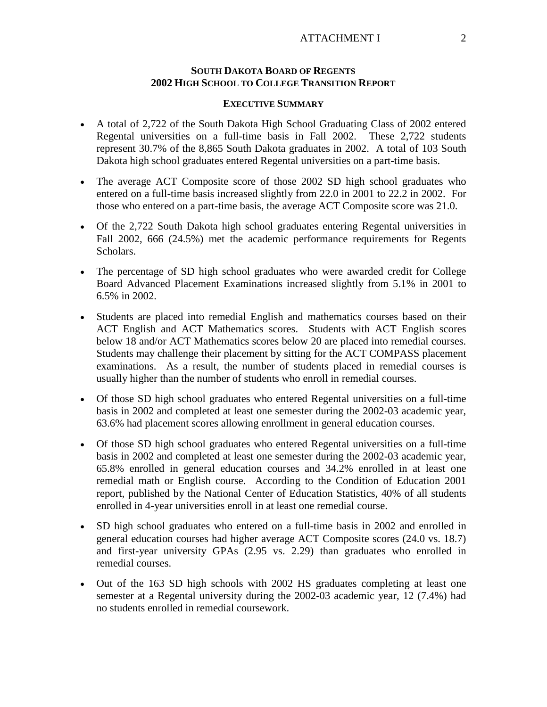#### ATTACHMENT I 2

### **SOUTH DAKOTA BOARD OF REGENTS 2002 HIGH SCHOOL TO COLLEGE TRANSITION REPORT**

#### **EXECUTIVE SUMMARY**

- A total of 2,722 of the South Dakota High School Graduating Class of 2002 entered Regental universities on a full-time basis in Fall 2002. These 2,722 students represent 30.7% of the 8,865 South Dakota graduates in 2002. A total of 103 South Dakota high school graduates entered Regental universities on a part-time basis.
- The average ACT Composite score of those 2002 SD high school graduates who entered on a full-time basis increased slightly from 22.0 in 2001 to 22.2 in 2002. For those who entered on a part-time basis, the average ACT Composite score was 21.0.
- Of the 2,722 South Dakota high school graduates entering Regental universities in Fall 2002, 666 (24.5%) met the academic performance requirements for Regents Scholars.
- The percentage of SD high school graduates who were awarded credit for College Board Advanced Placement Examinations increased slightly from 5.1% in 2001 to 6.5% in 2002.
- Students are placed into remedial English and mathematics courses based on their ACT English and ACT Mathematics scores. Students with ACT English scores below 18 and/or ACT Mathematics scores below 20 are placed into remedial courses. Students may challenge their placement by sitting for the ACT COMPASS placement examinations. As a result, the number of students placed in remedial courses is usually higher than the number of students who enroll in remedial courses.
- Of those SD high school graduates who entered Regental universities on a full-time basis in 2002 and completed at least one semester during the 2002-03 academic year, 63.6% had placement scores allowing enrollment in general education courses.
- Of those SD high school graduates who entered Regental universities on a full-time basis in 2002 and completed at least one semester during the 2002-03 academic year, 65.8% enrolled in general education courses and 34.2% enrolled in at least one remedial math or English course. According to the Condition of Education 2001 report, published by the National Center of Education Statistics, 40% of all students enrolled in 4-year universities enroll in at least one remedial course.
- SD high school graduates who entered on a full-time basis in 2002 and enrolled in general education courses had higher average ACT Composite scores (24.0 vs. 18.7) and first-year university GPAs (2.95 vs. 2.29) than graduates who enrolled in remedial courses.
- Out of the 163 SD high schools with 2002 HS graduates completing at least one semester at a Regental university during the 2002-03 academic year, 12 (7.4%) had no students enrolled in remedial coursework.